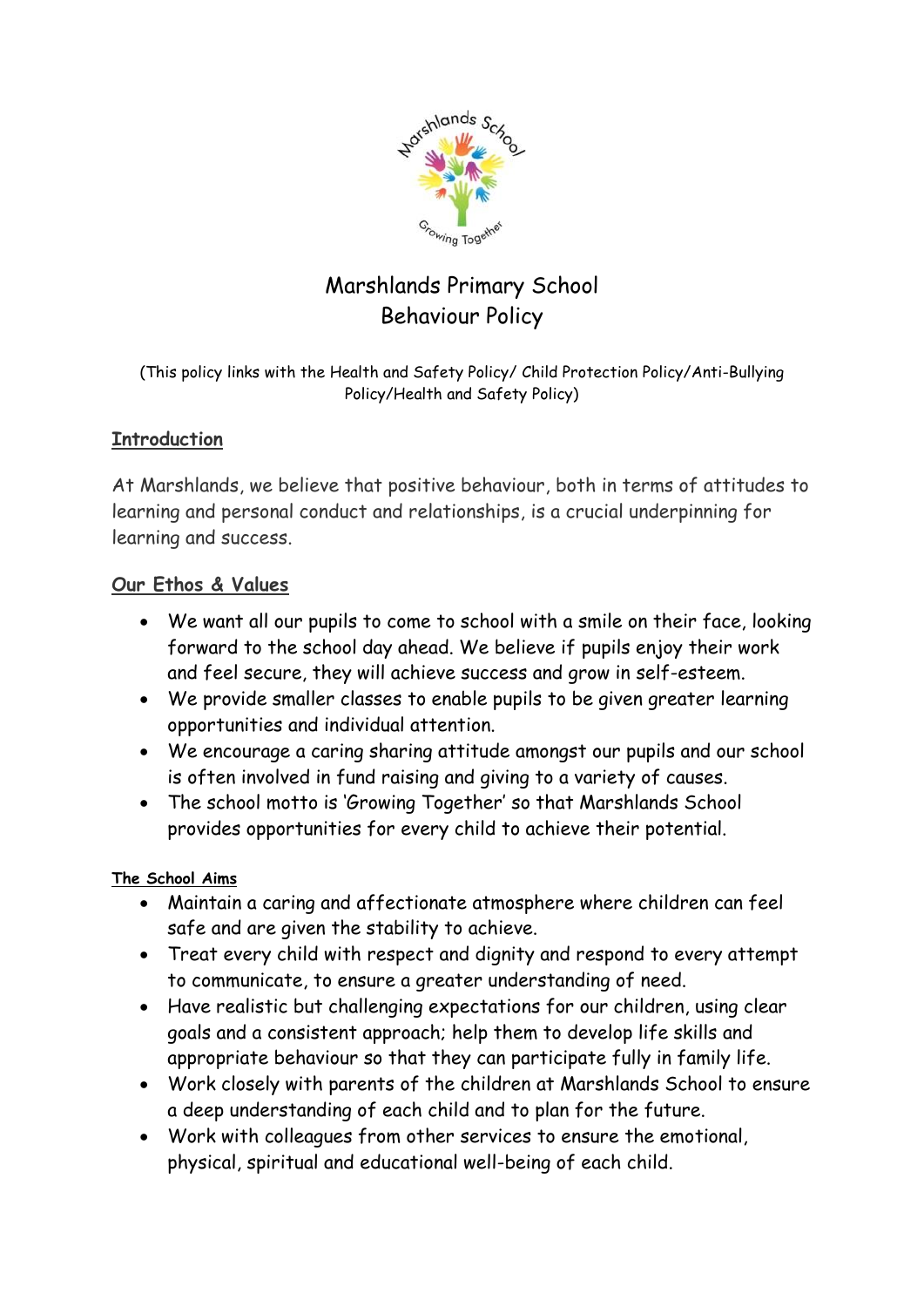

# Marshlands Primary School Behaviour Policy

(This policy links with the Health and Safety Policy/ Child Protection Policy/Anti-Bullying Policy/Health and Safety Policy)

# **Introduction**

At Marshlands, we believe that positive behaviour, both in terms of attitudes to learning and personal conduct and relationships, is a crucial underpinning for learning and success.

## **Our Ethos & Values**

- We want all our pupils to come to school with a smile on their face, looking forward to the school day ahead. We believe if pupils enjoy their work and feel secure, they will achieve success and grow in self-esteem.
- We provide smaller classes to enable pupils to be given greater learning opportunities and individual attention.
- We encourage a caring sharing attitude amongst our pupils and our school is often involved in fund raising and giving to a variety of causes.
- The school motto is 'Growing Together' so that Marshlands School provides opportunities for every child to achieve their potential.

## **The School Aims**

- Maintain a caring and affectionate atmosphere where children can feel safe and are given the stability to achieve.
- Treat every child with respect and dignity and respond to every attempt to communicate, to ensure a greater understanding of need.
- Have realistic but challenging expectations for our children, using clear goals and a consistent approach; help them to develop life skills and appropriate behaviour so that they can participate fully in family life.
- Work closely with parents of the children at Marshlands School to ensure a deep understanding of each child and to plan for the future.
- Work with colleagues from other services to ensure the emotional, physical, spiritual and educational well-being of each child.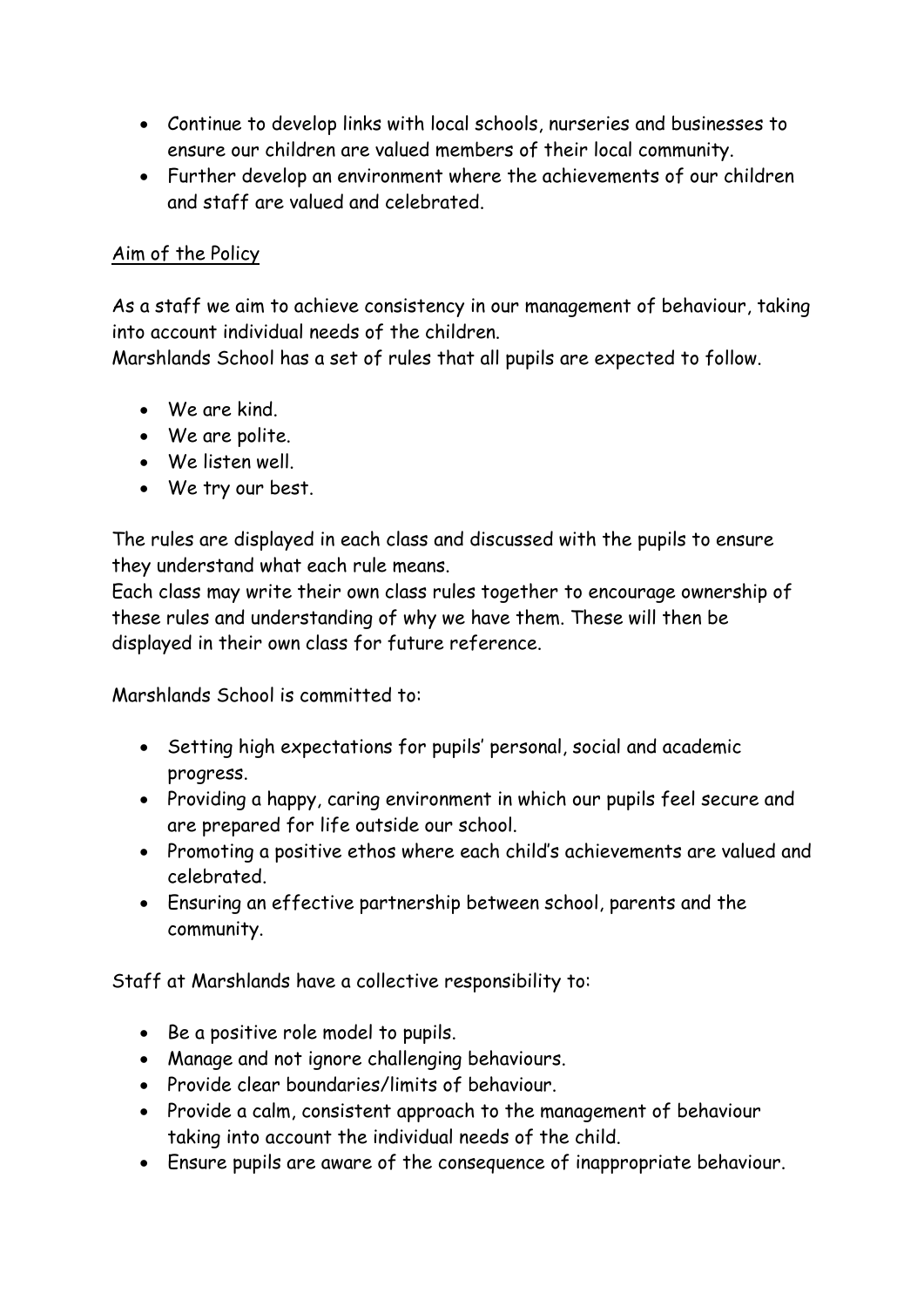- Continue to develop links with local schools, nurseries and businesses to ensure our children are valued members of their local community.
- Further develop an environment where the achievements of our children and staff are valued and celebrated.

## Aim of the Policy

As a staff we aim to achieve consistency in our management of behaviour, taking into account individual needs of the children.

Marshlands School has a set of rules that all pupils are expected to follow.

- We are kind.
- We are polite.
- We listen well.
- We try our best.

The rules are displayed in each class and discussed with the pupils to ensure they understand what each rule means.

Each class may write their own class rules together to encourage ownership of these rules and understanding of why we have them. These will then be displayed in their own class for future reference.

Marshlands School is committed to:

- Setting high expectations for pupils' personal, social and academic progress.
- Providing a happy, caring environment in which our pupils feel secure and are prepared for life outside our school.
- Promoting a positive ethos where each child's achievements are valued and celebrated.
- Ensuring an effective partnership between school, parents and the community.

Staff at Marshlands have a collective responsibility to:

- Be a positive role model to pupils.
- Manage and not ignore challenging behaviours.
- Provide clear boundaries/limits of behaviour.
- Provide a calm, consistent approach to the management of behaviour taking into account the individual needs of the child.
- Ensure pupils are aware of the consequence of inappropriate behaviour.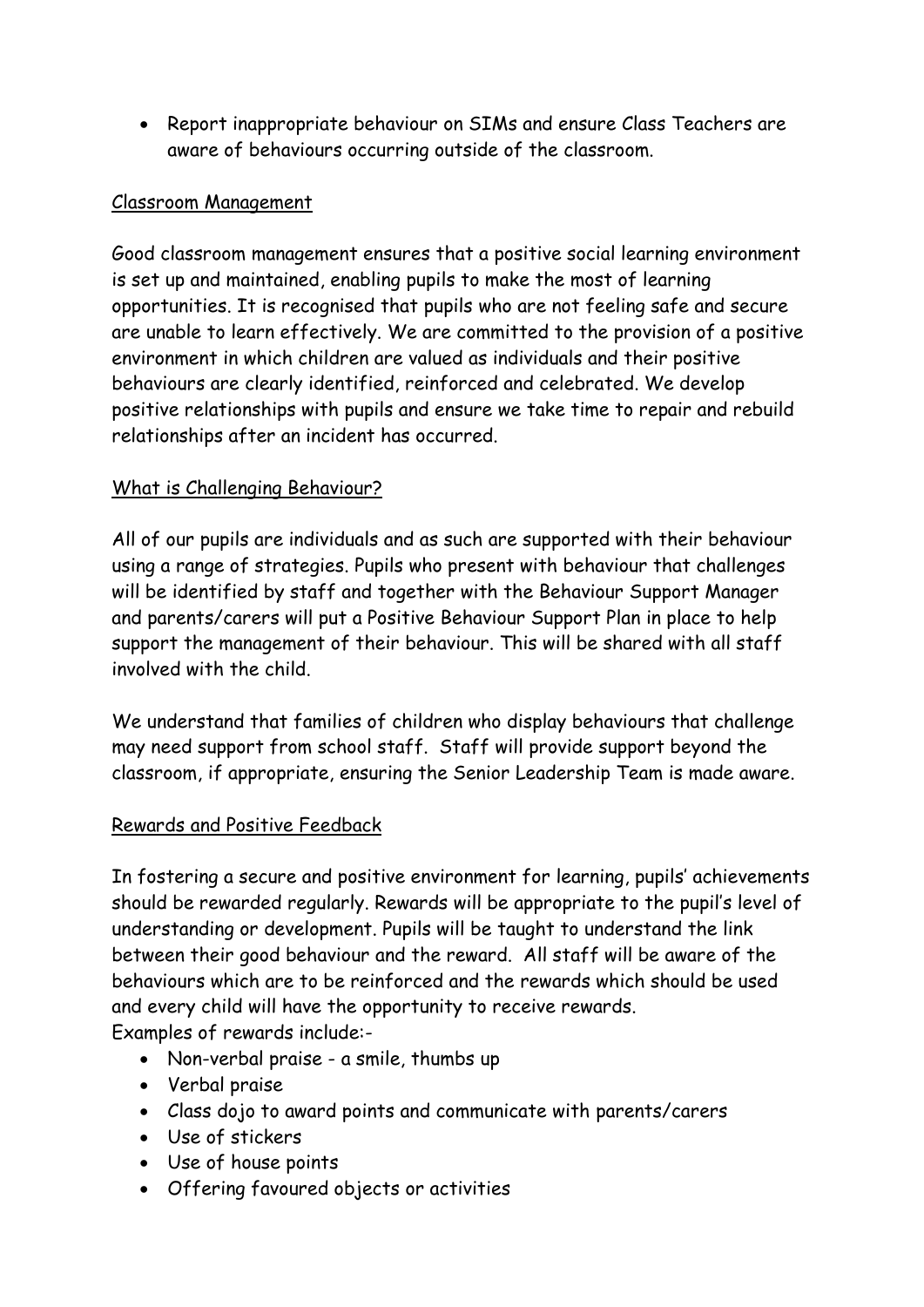Report inappropriate behaviour on SIMs and ensure Class Teachers are aware of behaviours occurring outside of the classroom.

## Classroom Management

Good classroom management ensures that a positive social learning environment is set up and maintained, enabling pupils to make the most of learning opportunities. It is recognised that pupils who are not feeling safe and secure are unable to learn effectively. We are committed to the provision of a positive environment in which children are valued as individuals and their positive behaviours are clearly identified, reinforced and celebrated. We develop positive relationships with pupils and ensure we take time to repair and rebuild relationships after an incident has occurred.

# What is Challenging Behaviour?

All of our pupils are individuals and as such are supported with their behaviour using a range of strategies. Pupils who present with behaviour that challenges will be identified by staff and together with the Behaviour Support Manager and parents/carers will put a Positive Behaviour Support Plan in place to help support the management of their behaviour. This will be shared with all staff involved with the child.

We understand that families of children who display behaviours that challenge may need support from school staff. Staff will provide support beyond the classroom, if appropriate, ensuring the Senior Leadership Team is made aware.

## Rewards and Positive Feedback

In fostering a secure and positive environment for learning, pupils' achievements should be rewarded regularly. Rewards will be appropriate to the pupil's level of understanding or development. Pupils will be taught to understand the link between their good behaviour and the reward. All staff will be aware of the behaviours which are to be reinforced and the rewards which should be used and every child will have the opportunity to receive rewards. Examples of rewards include:-

- Non-verbal praise a smile, thumbs up
- Verbal praise
- Class dojo to award points and communicate with parents/carers
- Use of stickers
- Use of house points
- Offering favoured objects or activities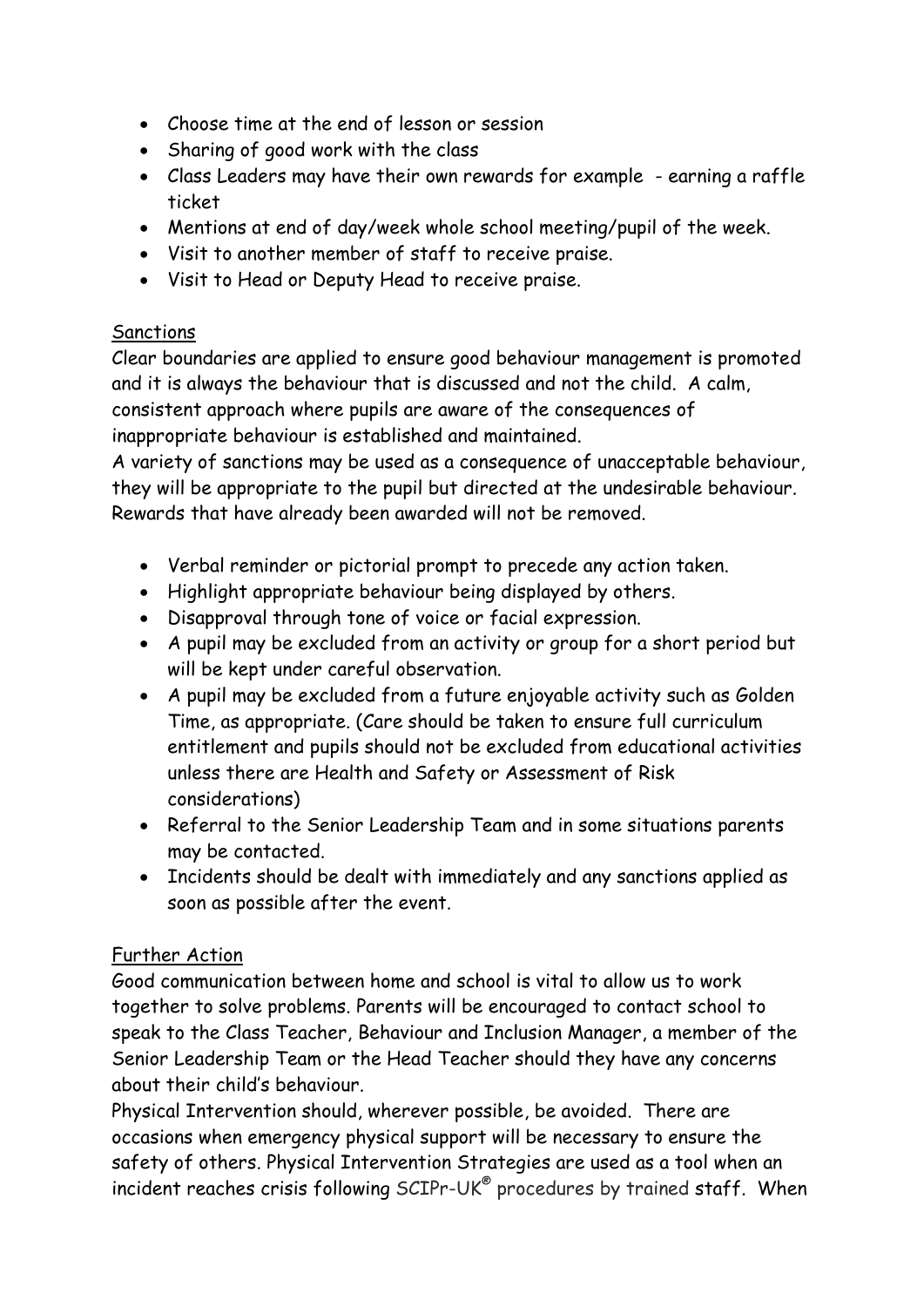- Choose time at the end of lesson or session
- Sharing of good work with the class
- Class Leaders may have their own rewards for example earning a raffle ticket
- Mentions at end of day/week whole school meeting/pupil of the week.
- Visit to another member of staff to receive praise.
- Visit to Head or Deputy Head to receive praise.

# **Sanctions**

Clear boundaries are applied to ensure good behaviour management is promoted and it is always the behaviour that is discussed and not the child. A calm, consistent approach where pupils are aware of the consequences of inappropriate behaviour is established and maintained.

A variety of sanctions may be used as a consequence of unacceptable behaviour, they will be appropriate to the pupil but directed at the undesirable behaviour. Rewards that have already been awarded will not be removed.

- Verbal reminder or pictorial prompt to precede any action taken.
- Highlight appropriate behaviour being displayed by others.
- Disapproval through tone of voice or facial expression.
- A pupil may be excluded from an activity or group for a short period but will be kept under careful observation.
- A pupil may be excluded from a future enjoyable activity such as Golden Time, as appropriate. (Care should be taken to ensure full curriculum entitlement and pupils should not be excluded from educational activities unless there are Health and Safety or Assessment of Risk considerations)
- Referral to the Senior Leadership Team and in some situations parents may be contacted.
- Incidents should be dealt with immediately and any sanctions applied as soon as possible after the event.

# Further Action

Good communication between home and school is vital to allow us to work together to solve problems. Parents will be encouraged to contact school to speak to the Class Teacher, Behaviour and Inclusion Manager, a member of the Senior Leadership Team or the Head Teacher should they have any concerns about their child's behaviour.

Physical Intervention should, wherever possible, be avoided. There are occasions when emergency physical support will be necessary to ensure the safety of others. Physical Intervention Strategies are used as a tool when an incident reaches crisis following SCIPr-UK® procedures by trained staff. When